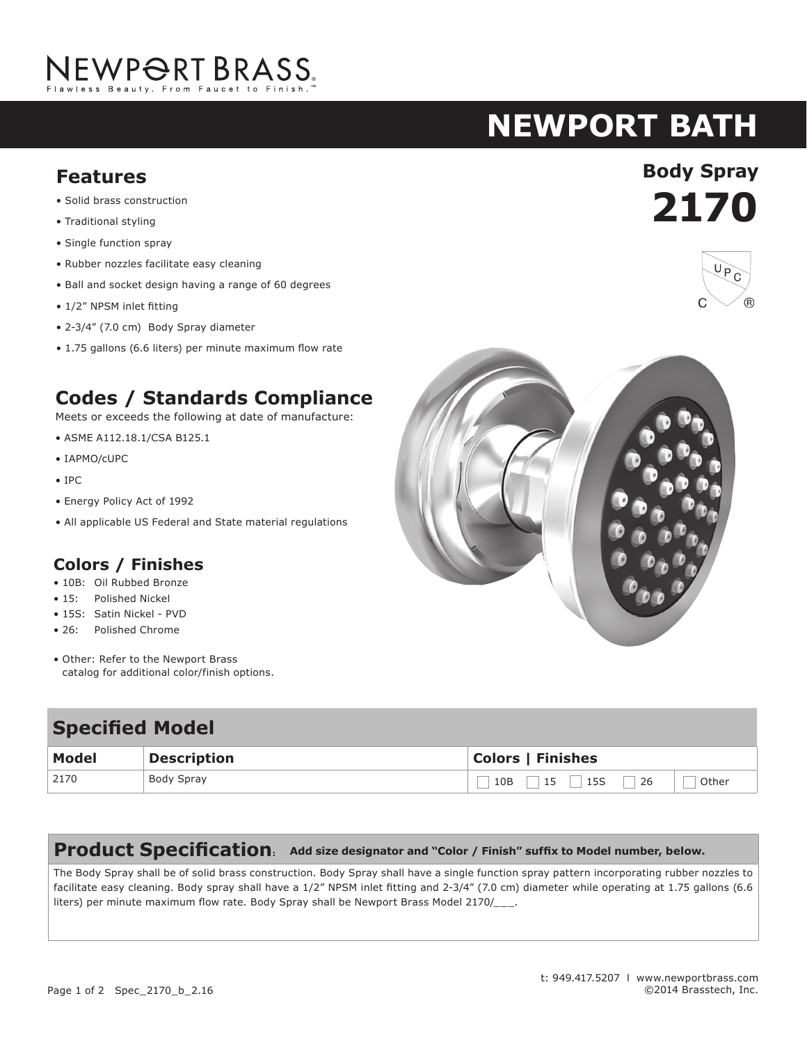# NEWPORT BRASS.

# **newport bath**

## **Features Body Spray**

- Solid brass construction
- Traditional styling
- Single function spray
- Rubber nozzles facilitate easy cleaning
- Ball and socket design having a range of 60 degrees
- 1/2" NPSM inlet fitting
- 2-3/4" (7.0 cm) Body Spray diameter
- 1.75 gallons (6.6 liters) per minute maximum flow rate

## **Codes / Standards Compliance**

Meets or exceeds the following at date of manufacture:

- ASME A112.18.1/CSA B125.1
- IAPMO/cUPC
- IPC
- Energy Policy Act of 1992
- All applicable US Federal and State material regulations

### **Colors / Finishes**

- 10B: Oil Rubbed Bronze
- 15: Polished Nickel
- 15S: Satin Nickel PVD
- 26: Polished Chrome
- Other: Refer to the Newport Brass catalog for additional color/finish options.

| <b>Specified Model</b> |                    |                                 |
|------------------------|--------------------|---------------------------------|
| <b>Model</b>           | <b>Description</b> | <b>Colors   Finishes</b>        |
| 2170                   | Body Spray         | $15$ 15S<br> 26<br>10B<br>Other |

### **Product Specification: Add size designator and "Color / Finish" suffix to Model number, below.**

The Body Spray shall be of solid brass construction. Body Spray shall have a single function spray pattern incorporating rubber nozzles to facilitate easy cleaning. Body spray shall have a 1/2" NPSM inlet fitting and 2-3/4" (7.0 cm) diameter while operating at 1.75 gallons (6.6 liters) per minute maximum flow rate. Body Spray shall be Newport Brass Model 2170/